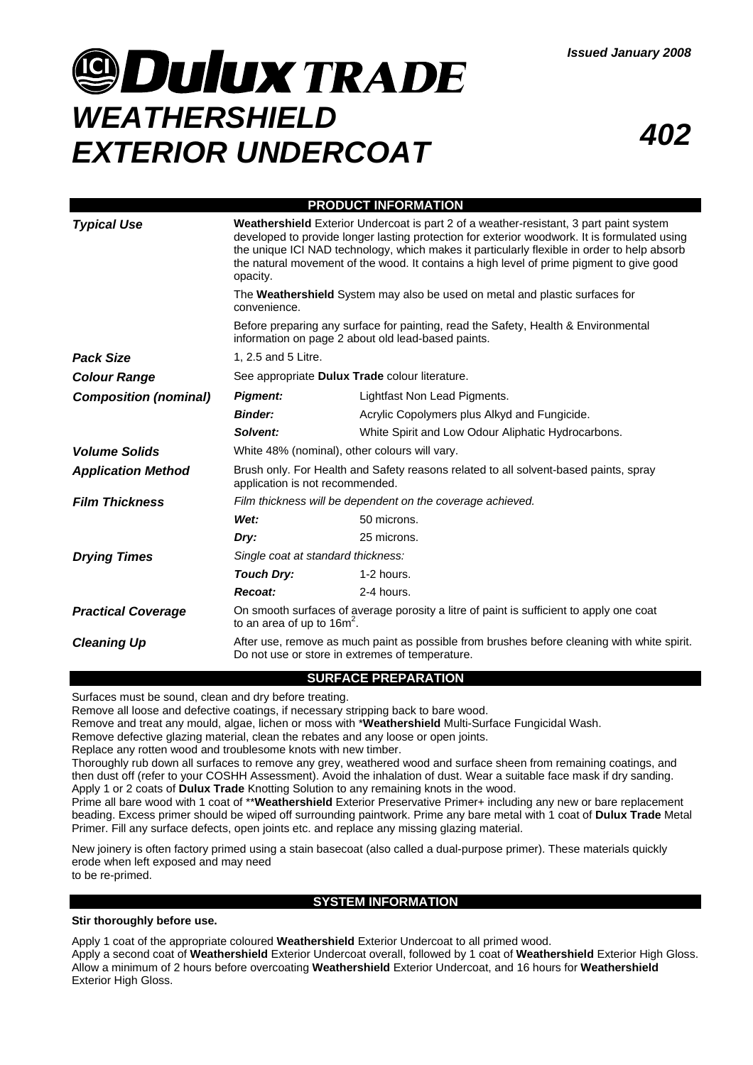# **JOULUX TRADE** *WEATHERSHIELD EXTERIOR UNDERCOAT <sup>402</sup>*

| <b>PRODUCT INFORMATION</b>   |                                                                                                                                                                                                                                                                                                                                                                                                                                                                                                                                                                                                                                          |                                                    |
|------------------------------|------------------------------------------------------------------------------------------------------------------------------------------------------------------------------------------------------------------------------------------------------------------------------------------------------------------------------------------------------------------------------------------------------------------------------------------------------------------------------------------------------------------------------------------------------------------------------------------------------------------------------------------|----------------------------------------------------|
| <b>Typical Use</b>           | Weathershield Exterior Undercoat is part 2 of a weather-resistant, 3 part paint system<br>developed to provide longer lasting protection for exterior woodwork. It is formulated using<br>the unique ICI NAD technology, which makes it particularly flexible in order to help absorb<br>the natural movement of the wood. It contains a high level of prime pigment to give good<br>opacity.<br>The Weathershield System may also be used on metal and plastic surfaces for<br>convenience.<br>Before preparing any surface for painting, read the Safety, Health & Environmental<br>information on page 2 about old lead-based paints. |                                                    |
|                              |                                                                                                                                                                                                                                                                                                                                                                                                                                                                                                                                                                                                                                          |                                                    |
|                              |                                                                                                                                                                                                                                                                                                                                                                                                                                                                                                                                                                                                                                          |                                                    |
| <b>Pack Size</b>             | 1, 2.5 and 5 Litre.                                                                                                                                                                                                                                                                                                                                                                                                                                                                                                                                                                                                                      |                                                    |
| <b>Colour Range</b>          | See appropriate Dulux Trade colour literature.                                                                                                                                                                                                                                                                                                                                                                                                                                                                                                                                                                                           |                                                    |
| <b>Composition (nominal)</b> | <b>Pigment:</b>                                                                                                                                                                                                                                                                                                                                                                                                                                                                                                                                                                                                                          | Lightfast Non Lead Pigments.                       |
|                              | <b>Binder:</b>                                                                                                                                                                                                                                                                                                                                                                                                                                                                                                                                                                                                                           | Acrylic Copolymers plus Alkyd and Fungicide.       |
|                              | Solvent:                                                                                                                                                                                                                                                                                                                                                                                                                                                                                                                                                                                                                                 | White Spirit and Low Odour Aliphatic Hydrocarbons. |
| <b>Volume Solids</b>         | White 48% (nominal), other colours will vary.                                                                                                                                                                                                                                                                                                                                                                                                                                                                                                                                                                                            |                                                    |
| <b>Application Method</b>    | Brush only. For Health and Safety reasons related to all solvent-based paints, spray<br>application is not recommended.                                                                                                                                                                                                                                                                                                                                                                                                                                                                                                                  |                                                    |
| <b>Film Thickness</b>        | Film thickness will be dependent on the coverage achieved.                                                                                                                                                                                                                                                                                                                                                                                                                                                                                                                                                                               |                                                    |
|                              | Wet:                                                                                                                                                                                                                                                                                                                                                                                                                                                                                                                                                                                                                                     | 50 microns.                                        |
|                              | Dry:                                                                                                                                                                                                                                                                                                                                                                                                                                                                                                                                                                                                                                     | 25 microns.                                        |
| <b>Drying Times</b>          | Single coat at standard thickness:                                                                                                                                                                                                                                                                                                                                                                                                                                                                                                                                                                                                       |                                                    |
|                              | <b>Touch Dry:</b>                                                                                                                                                                                                                                                                                                                                                                                                                                                                                                                                                                                                                        | 1-2 hours.                                         |
|                              | Recoat:                                                                                                                                                                                                                                                                                                                                                                                                                                                                                                                                                                                                                                  | 2-4 hours.                                         |
| <b>Practical Coverage</b>    | On smooth surfaces of average porosity a litre of paint is sufficient to apply one coat<br>to an area of up to $16m2$ .                                                                                                                                                                                                                                                                                                                                                                                                                                                                                                                  |                                                    |
| <b>Cleaning Up</b>           | After use, remove as much paint as possible from brushes before cleaning with white spirit.<br>Do not use or store in extremes of temperature.                                                                                                                                                                                                                                                                                                                                                                                                                                                                                           |                                                    |

## **SURFACE PREPARATION**

Surfaces must be sound, clean and dry before treating.

Remove all loose and defective coatings, if necessary stripping back to bare wood.

Remove and treat any mould, algae, lichen or moss with \***Weathershield** Multi-Surface Fungicidal Wash.

Remove defective glazing material, clean the rebates and any loose or open joints.

Replace any rotten wood and troublesome knots with new timber.

Thoroughly rub down all surfaces to remove any grey, weathered wood and surface sheen from remaining coatings, and then dust off (refer to your COSHH Assessment). Avoid the inhalation of dust. Wear a suitable face mask if dry sanding. Apply 1 or 2 coats of **Dulux Trade** Knotting Solution to any remaining knots in the wood.

Prime all bare wood with 1 coat of \*\***Weathershield** Exterior Preservative Primer+ including any new or bare replacement beading. Excess primer should be wiped off surrounding paintwork. Prime any bare metal with 1 coat of **Dulux Trade** Metal Primer. Fill any surface defects, open joints etc. and replace any missing glazing material.

New joinery is often factory primed using a stain basecoat (also called a dual-purpose primer). These materials quickly erode when left exposed and may need

to be re-primed.

## **SYSTEM INFORMATION**

### **Stir thoroughly before use.**

Apply 1 coat of the appropriate coloured **Weathershield** Exterior Undercoat to all primed wood. Apply a second coat of **Weathershield** Exterior Undercoat overall, followed by 1 coat of **Weathershield** Exterior High Gloss. Allow a minimum of 2 hours before overcoating **Weathershield** Exterior Undercoat, and 16 hours for **Weathershield** Exterior High Gloss.